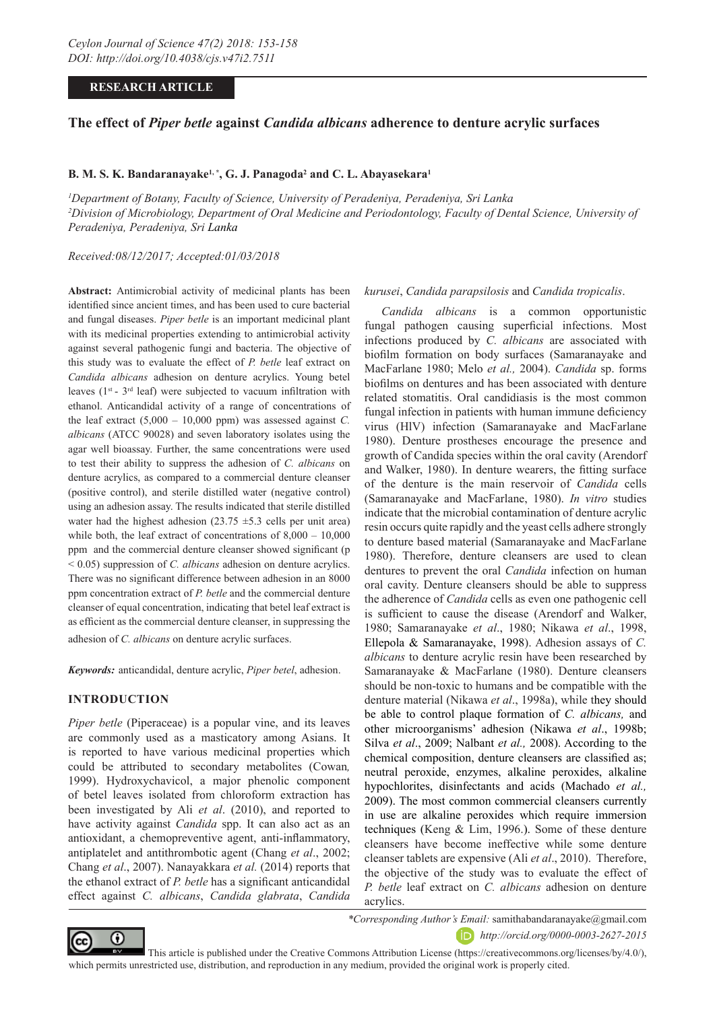## **RESEARCH ARTICLE**

## **The effect of** *Piper betle* **against** *Candida albicans* **adherence to denture acrylic surfaces**

## **B. M. S. K. Bandaranayake<sup>1, \*</sup>, G. J. Panagoda<sup>2</sup> and C. L. Abayasekara<sup>1</sup>**

*1 Department of Botany, Faculty of Science, University of Peradeniya, Peradeniya, Sri Lanka 2 Division of Microbiology, Department of Oral Medicine and Periodontology, Faculty of Dental Science, University of Peradeniya, Peradeniya, Sri Lanka*

*Received:08/12/2017; Accepted:01/03/2018*

**Abstract:** Antimicrobial activity of medicinal plants has been identified since ancient times, and has been used to cure bacterial and fungal diseases. *Piper betle* is an important medicinal plant with its medicinal properties extending to antimicrobial activity against several pathogenic fungi and bacteria. The objective of this study was to evaluate the effect of *P. betle* leaf extract on *Candida albicans* adhesion on denture acrylics. Young betel leaves  $(1^{st} - 3^{rd} \text{ leaf})$  were subjected to vacuum infiltration with ethanol. Anticandidal activity of a range of concentrations of the leaf extract  $(5,000 - 10,000)$  ppm) was assessed against *C*. *albicans* (ATCC 90028) and seven laboratory isolates using the agar well bioassay. Further, the same concentrations were used to test their ability to suppress the adhesion of *C. albicans* on denture acrylics, as compared to a commercial denture cleanser (positive control), and sterile distilled water (negative control) using an adhesion assay. The results indicated that sterile distilled water had the highest adhesion  $(23.75 \pm 5.3 \text{ cells per unit area})$ while both, the leaf extract of concentrations of  $8,000 - 10,000$ ppm and the commercial denture cleanser showed significant (p < 0.05) suppression of *C. albicans* adhesion on denture acrylics. There was no significant difference between adhesion in an 8000 ppm concentration extract of *P. betle* and the commercial denture cleanser of equal concentration, indicating that betel leaf extract is as efficient as the commercial denture cleanser, in suppressing the adhesion of *C. albicans* on denture acrylic surfaces.

*Keywords:* anticandidal, denture acrylic, *Piper betel*, adhesion.

### **INTRODUCTION**

*Piper betle* (Piperaceae) is a popular vine, and its leaves are commonly used as a masticatory among Asians. It is reported to have various medicinal properties which could be attributed to secondary metabolites (Cowan*,* 1999). Hydroxychavicol, a major phenolic component of betel leaves isolated from chloroform extraction has been investigated by Ali *et al*. (2010), and reported to have activity against *Candida* spp. It can also act as an antioxidant, a chemopreventive agent, anti-inflammatory, antiplatelet and antithrombotic agent (Chang *et al*., 2002; Chang *et al*., 2007). Nanayakkara *et al.* (2014) reports that the ethanol extract of *P. betle* has a significant anticandidal effect against *C. albicans*, *Candida glabrata*, *Candida* 

#### *kurusei*, *Candida parapsilosis* and *Candida tropicalis*.

*Candida albicans* is a common opportunistic fungal pathogen causing superficial infections. Most infections produced by *C. albicans* are associated with biofilm formation on body surfaces (Samaranayake and MacFarlane 1980; Melo *et al.,* 2004). *Candida* sp. forms biofilms on dentures and has been associated with denture related stomatitis. Oral candidiasis is the most common fungal infection in patients with human immune deficiency virus (HlV) infection (Samaranayake and MacFarlane 1980). Denture prostheses encourage the presence and growth of Candida species within the oral cavity (Arendorf and Walker, 1980). In denture wearers, the fitting surface of the denture is the main reservoir of *Candida* cells (Samaranayake and MacFarlane, 1980). *In vitro* studies indicate that the microbial contamination of denture acrylic resin occurs quite rapidly and the yeast cells adhere strongly to denture based material (Samaranayake and MacFarlane 1980). Therefore, denture cleansers are used to clean dentures to prevent the oral *Candida* infection on human oral cavity. Denture cleansers should be able to suppress the adherence of *Candida* cells as even one pathogenic cell is sufficient to cause the disease (Arendorf and Walker, 1980; Samaranayake *et al*., 1980; Nikawa *et al*., 1998, Ellepola & Samaranayake, 1998). Adhesion assays of *C. albicans* to denture acrylic resin have been researched by Samaranayake & MacFarlane (1980). Denture cleansers should be non-toxic to humans and be compatible with the denture material (Nikawa *et al*., 1998a), while they should be able to control plaque formation of *C. albicans,* and other microorganisms' adhesion (Nikawa *et al*., 1998b; Silva *et al*., 2009; Nalbant *et al.,* 2008). According to the chemical composition, denture cleansers are classified as; neutral peroxide, enzymes, alkaline peroxides, alkaline hypochlorites, disinfectants and acids (Machado *et al.,* 2009). The most common commercial cleansers currently in use are alkaline peroxides which require immersion techniques (Keng & Lim, 1996.). Some of these denture cleansers have become ineffective while some denture cleanser tablets are expensive (Ali *et al*., 2010). Therefore, the objective of the study was to evaluate the effect of *P. betle* leaf extract on *C. albicans* adhesion on denture acrylics.



*\*Corresponding Author's Email:* samithabandaranayake@gmail.com *http://orcid.org/0000-0003-2627-2015* 

 This article is published under the Creative Commons Attribution License (https://creativecommons.org/licenses/by/4.0/), which permits unrestricted use, distribution, and reproduction in any medium, provided the original work is properly cited.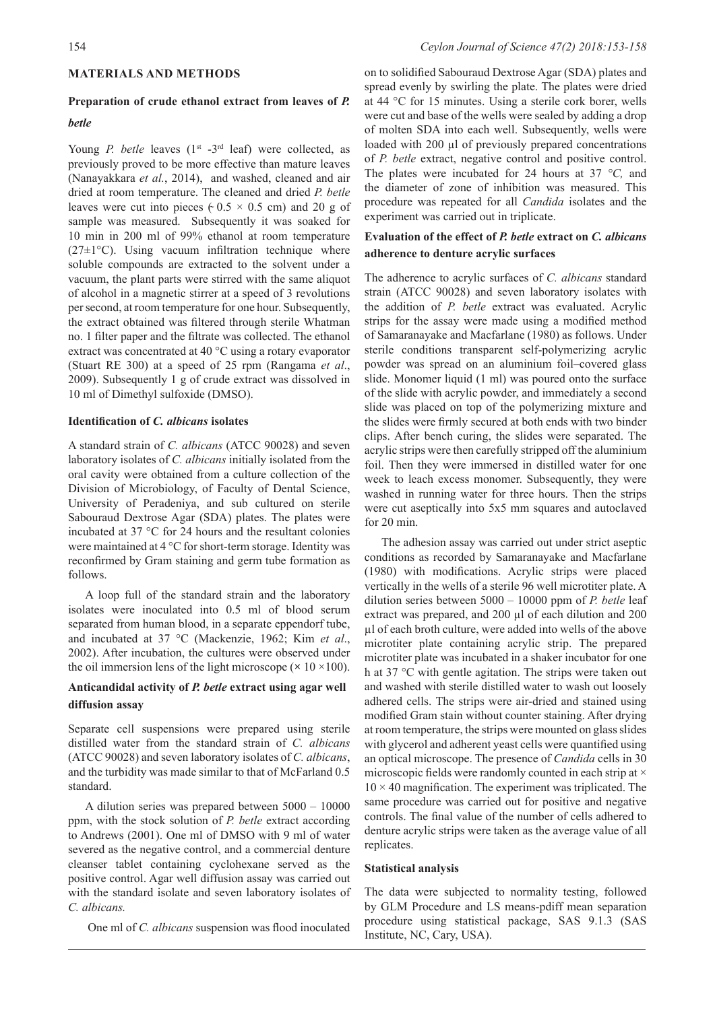# 58154 *Ceylon Journal of Science 47(2) 2018:153-158*

### **MATERIALS AND METHODS**

## **Preparation of crude ethanol extract from leaves of** *P.*

## *betle*

Young *P. betle* leaves (1<sup>st</sup> -3<sup>rd</sup> leaf) were collected, as previously proved to be more effective than mature leaves (Nanayakkara *et al.*, 2014), and washed, cleaned and air dried at room temperature. The cleaned and dried *P. betle*  leaves were cut into pieces ( $0.5 \times 0.5$  cm) and 20 g of sample was measured. Subsequently it was soaked for 10 min in 200 ml of 99% ethanol at room temperature  $(27\pm1\,^{\circ}\mathrm{C})$ . Using vacuum infiltration technique where soluble compounds are extracted to the solvent under a vacuum, the plant parts were stirred with the same aliquot of alcohol in a magnetic stirrer at a speed of 3 revolutions per second, at room temperature for one hour. Subsequently, the extract obtained was filtered through sterile Whatman no. 1 filter paper and the filtrate was collected. The ethanol extract was concentrated at 40 °C using a rotary evaporator (Stuart RE 300) at a speed of 25 rpm (Rangama *et al*., 2009). Subsequently 1 g of crude extract was dissolved in 10 ml of Dimethyl sulfoxide (DMSO).

### **Identification of** *C. albicans* **isolates**

A standard strain of *C. albicans* (ATCC 90028) and seven laboratory isolates of *C. albicans* initially isolated from the oral cavity were obtained from a culture collection of the Division of Microbiology, of Faculty of Dental Science, University of Peradeniya, and sub cultured on sterile Sabouraud Dextrose Agar (SDA) plates. The plates were incubated at 37 °C for 24 hours and the resultant colonies were maintained at 4 °C for short-term storage. Identity was reconfirmed by Gram staining and germ tube formation as follows.

A loop full of the standard strain and the laboratory isolates were inoculated into 0.5 ml of blood serum separated from human blood, in a separate eppendorf tube, and incubated at 37 °C (Mackenzie, 1962; Kim *et al*., 2002). After incubation, the cultures were observed under the oil immersion lens of the light microscope  $(\times 10 \times 100)$ .

## **Anticandidal activity of** *P. betle* **extract using agar well diffusion assay**

Separate cell suspensions were prepared using sterile distilled water from the standard strain of *C. albicans*  (ATCC 90028) and seven laboratory isolates of *C. albicans*, and the turbidity was made similar to that of McFarland 0.5 standard.

A dilution series was prepared between 5000 – 10000 ppm, with the stock solution of *P. betle* extract according to Andrews (2001). One ml of DMSO with 9 ml of water severed as the negative control, and a commercial denture cleanser tablet containing cyclohexane served as the positive control. Agar well diffusion assay was carried out with the standard isolate and seven laboratory isolates of *C. albicans.* 

One ml of *C. albicans* suspension was flood inoculated

on to solidified Sabouraud Dextrose Agar (SDA) plates and spread evenly by swirling the plate. The plates were dried at 44 °C for 15 minutes. Using a sterile cork borer, wells were cut and base of the wells were sealed by adding a drop of molten SDA into each well. Subsequently, wells were loaded with 200 µl of previously prepared concentrations of *P. betle* extract, negative control and positive control. The plates were incubated for 24 hours at 37 *°C,* and the diameter of zone of inhibition was measured. This procedure was repeated for all *Candida* isolates and the experiment was carried out in triplicate.

## **Evaluation of the effect of** *P. betle* **extract on** *C. albicans* **adherence to denture acrylic surfaces**

The adherence to acrylic surfaces of *C. albicans* standard strain (ATCC 90028) and seven laboratory isolates with the addition of *P. betle* extract was evaluated. Acrylic strips for the assay were made using a modified method of Samaranayake and Macfarlane (1980) as follows. Under sterile conditions transparent self-polymerizing acrylic powder was spread on an aluminium foil–covered glass slide. Monomer liquid (1 ml) was poured onto the surface of the slide with acrylic powder, and immediately a second slide was placed on top of the polymerizing mixture and the slides were firmly secured at both ends with two binder clips. After bench curing, the slides were separated. The acrylic strips were then carefully stripped off the aluminium foil. Then they were immersed in distilled water for one week to leach excess monomer. Subsequently, they were washed in running water for three hours. Then the strips were cut aseptically into 5x5 mm squares and autoclaved for 20 min.

The adhesion assay was carried out under strict aseptic conditions as recorded by Samaranayake and Macfarlane (1980) with modifications. Acrylic strips were placed vertically in the wells of a sterile 96 well microtiter plate. A dilution series between 5000 – 10000 ppm of *P. betle* leaf extract was prepared, and 200 µl of each dilution and 200 µl of each broth culture, were added into wells of the above microtiter plate containing acrylic strip. The prepared microtiter plate was incubated in a shaker incubator for one h at 37 °C with gentle agitation. The strips were taken out and washed with sterile distilled water to wash out loosely adhered cells. The strips were air-dried and stained using modified Gram stain without counter staining. After drying at room temperature, the strips were mounted on glass slides with glycerol and adherent yeast cells were quantified using an optical microscope. The presence of *Candida* cells in 30 microscopic fields were randomly counted in each strip at  $\times$  $10 \times 40$  magnification. The experiment was triplicated. The same procedure was carried out for positive and negative controls. The final value of the number of cells adhered to denture acrylic strips were taken as the average value of all replicates.

#### **Statistical analysis**

The data were subjected to normality testing, followed by GLM Procedure and LS means-pdiff mean separation procedure using statistical package, SAS 9.1.3 (SAS Institute, NC, Cary, USA).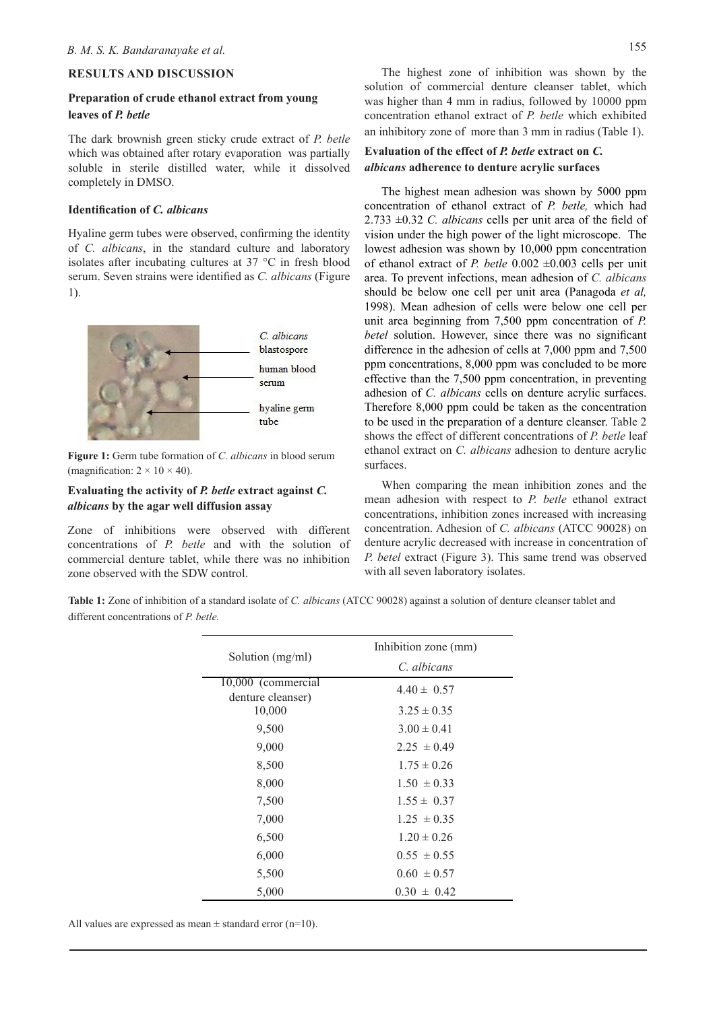## **RESULTS AND DISCUSSION**

## **Preparation of crude ethanol extract from young leaves of** *P. betle*

The dark brownish green sticky crude extract of *P. betle* which was obtained after rotary evaporation was partially soluble in sterile distilled water, while it dissolved completely in DMSO.

## **Identification of** *C. albicans*

Hyaline germ tubes were observed, confirming the identity of *C. albicans*, in the standard culture and laboratory isolates after incubating cultures at 37 °C in fresh blood serum. Seven strains were identified as *C. albicans* (Figure 1).



**Figure 1:** Germ tube formation of *C. albicans* in blood serum (magnification:  $2 \times 10 \times 40$ ).

## **Evaluating the activity of** *P. betle* **extract against** *C. albicans* **by the agar well diffusion assay**

Zone of inhibitions were observed with different concentrations of *P. betle* and with the solution of commercial denture tablet, while there was no inhibition zone observed with the SDW control.

The highest zone of inhibition was shown by the solution of commercial denture cleanser tablet, which was higher than 4 mm in radius, followed by 10000 ppm concentration ethanol extract of *P. betle* which exhibited an inhibitory zone of more than 3 mm in radius (Table 1).

## **Evaluation of the effect of** *P. betle* **extract on** *C. albicans* **adherence to denture acrylic surfaces**

The highest mean adhesion was shown by 5000 ppm concentration of ethanol extract of *P. betle,* which had 2.733 ±0.32 *C. albicans* cells per unit area of the field of vision under the high power of the light microscope. The lowest adhesion was shown by 10,000 ppm concentration of ethanol extract of *P. betle* 0.002 ±0.003 cells per unit area. To prevent infections, mean adhesion of *C. albicans* should be below one cell per unit area (Panagoda *et al,* 1998). Mean adhesion of cells were below one cell per unit area beginning from 7,500 ppm concentration of *P. betel* solution. However, since there was no significant difference in the adhesion of cells at 7,000 ppm and 7,500 ppm concentrations, 8,000 ppm was concluded to be more effective than the 7,500 ppm concentration, in preventing adhesion of *C. albicans* cells on denture acrylic surfaces. Therefore 8,000 ppm could be taken as the concentration to be used in the preparation of a denture cleanser. Table 2 shows the effect of different concentrations of *P. betle* leaf ethanol extract on *C. albicans* adhesion to denture acrylic surfaces.

When comparing the mean inhibition zones and the mean adhesion with respect to *P. betle* ethanol extract concentrations, inhibition zones increased with increasing concentration. Adhesion of *C. albicans* (ATCC 90028) on denture acrylic decreased with increase in concentration of *P. betel* extract (Figure 3). This same trend was observed with all seven laboratory isolates.

**Table 1:** Zone of inhibition of a standard isolate of *C. albicans* (ATCC 90028) against a solution of denture cleanser tablet and different concentrations of *P. betle.*

| Solution (mg/ml)                                  | Inhibition zone (mm)               |
|---------------------------------------------------|------------------------------------|
|                                                   | C. albicans                        |
| 10,000 (commercial<br>denture cleanser)<br>10,000 | $4.40 \pm 0.57$<br>$3.25 \pm 0.35$ |
| 9,500                                             | $3.00 \pm 0.41$                    |
| 9,000                                             | $2.25 \pm 0.49$                    |
| 8,500                                             | $1.75 \pm 0.26$                    |
| 8,000                                             | $1.50 \pm 0.33$                    |
| 7,500                                             | $1.55 \pm 0.37$                    |
| 7,000                                             | $1.25 \pm 0.35$                    |
| 6,500                                             | $1.20 \pm 0.26$                    |
| 6,000                                             | $0.55 \pm 0.55$                    |
| 5,500                                             | $0.60 \pm 0.57$                    |
| 5,000                                             | $0.30 \pm 0.42$                    |

All values are expressed as mean  $\pm$  standard error (n=10).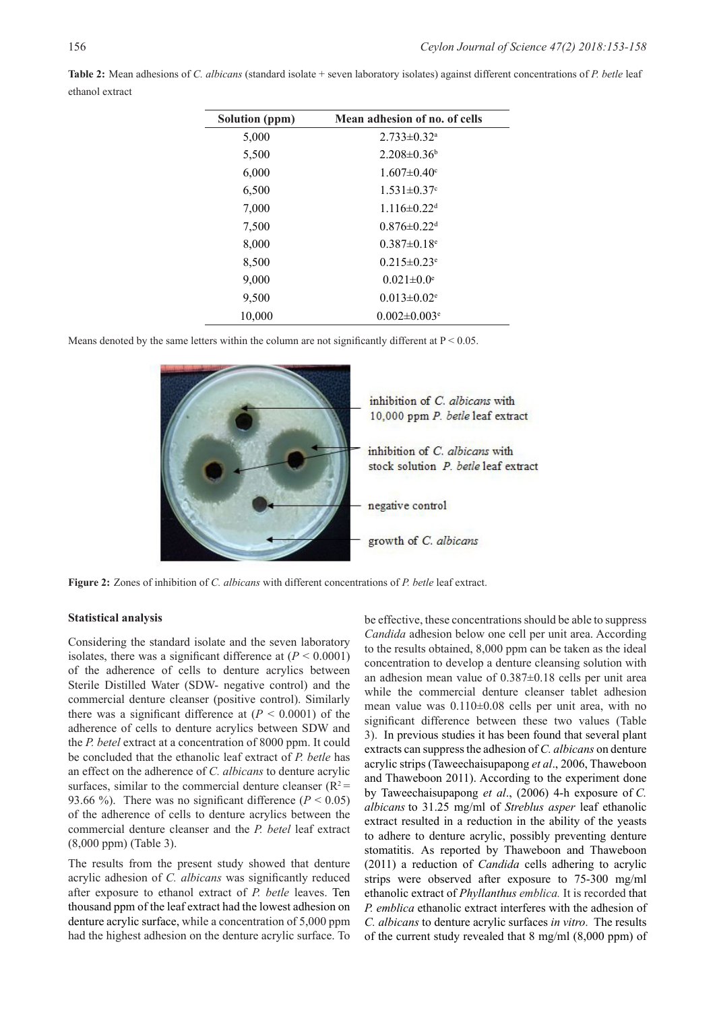| Solution (ppm) | Mean adhesion of no. of cells  |
|----------------|--------------------------------|
| 5,000          | $2.733 \pm 0.32$ <sup>a</sup>  |
| 5,500          | $2.208 \pm 0.36$ <sup>b</sup>  |
| 6,000          | $1.607 \pm 0.40$ <sup>c</sup>  |
| 6,500          | $1.531 \pm 0.37$ °             |
| 7,000          | $1.116 \pm 0.22$ <sup>d</sup>  |
| 7,500          | $0.876 \pm 0.22$ <sup>d</sup>  |
| 8,000          | $0.387 \pm 0.18$ <sup>e</sup>  |
| 8,500          | $0.215 \pm 0.23$ <sup>e</sup>  |
| 9,000          | $0.021 \pm 0.0$ <sup>e</sup>   |
| 9,500          | $0.013 \pm 0.02$ <sup>e</sup>  |
| 10,000         | $0.002 \pm 0.003$ <sup>e</sup> |

**Table 2:** Mean adhesions of *C. albicans* (standard isolate + seven laboratory isolates) against different concentrations of *P. betle* leaf ethanol extract

Means denoted by the same letters within the column are not significantly different at  $P < 0.05$ .



**Figure 2:** Zones of inhibition of *C. albicans* with different concentrations of *P. betle* leaf extract.

#### **Statistical analysis**

Considering the standard isolate and the seven laboratory isolates, there was a significant difference at  $(P < 0.0001)$ of the adherence of cells to denture acrylics between Sterile Distilled Water (SDW- negative control) and the commercial denture cleanser (positive control). Similarly there was a significant difference at  $(P < 0.0001)$  of the adherence of cells to denture acrylics between SDW and the *P. betel* extract at a concentration of 8000 ppm. It could be concluded that the ethanolic leaf extract of *P. betle* has an effect on the adherence of *C. albicans* to denture acrylic surfaces, similar to the commercial denture cleanser  $(R^2 =$ 93.66 %). There was no significant difference  $(P < 0.05)$ of the adherence of cells to denture acrylics between the commercial denture cleanser and the *P. betel* leaf extract (8,000 ppm) (Table 3).

The results from the present study showed that denture acrylic adhesion of *C. albicans* was significantly reduced after exposure to ethanol extract of *P. betle* leaves. Ten thousand ppm of the leaf extract had the lowest adhesion on denture acrylic surface, while a concentration of 5,000 ppm had the highest adhesion on the denture acrylic surface. To

be effective, these concentrations should be able to suppress *Candida* adhesion below one cell per unit area. According to the results obtained, 8,000 ppm can be taken as the ideal concentration to develop a denture cleansing solution with an adhesion mean value of 0.387±0.18 cells per unit area while the commercial denture cleanser tablet adhesion mean value was 0.110±0.08 cells per unit area, with no significant difference between these two values (Table 3). In previous studies it has been found that several plant extracts can suppress the adhesion of *C. albicans* on denture acrylic strips (Taweechaisupapong *et al*., 2006, Thaweboon and Thaweboon 2011). According to the experiment done by Taweechaisupapong *et al*., (2006) 4-h exposure of *C. albicans* to 31.25 mg/ml of *Streblus asper* leaf ethanolic extract resulted in a reduction in the ability of the yeasts to adhere to denture acrylic, possibly preventing denture stomatitis. As reported by Thaweboon and Thaweboon (2011) a reduction of *Candida* cells adhering to acrylic strips were observed after exposure to 75-300 mg/ml ethanolic extract of *Phyllanthus emblica.* It is recorded that *P. emblica* ethanolic extract interferes with the adhesion of *C. albicans* to denture acrylic surfaces *in vitro*. The results of the current study revealed that 8 mg/ml (8,000 ppm) of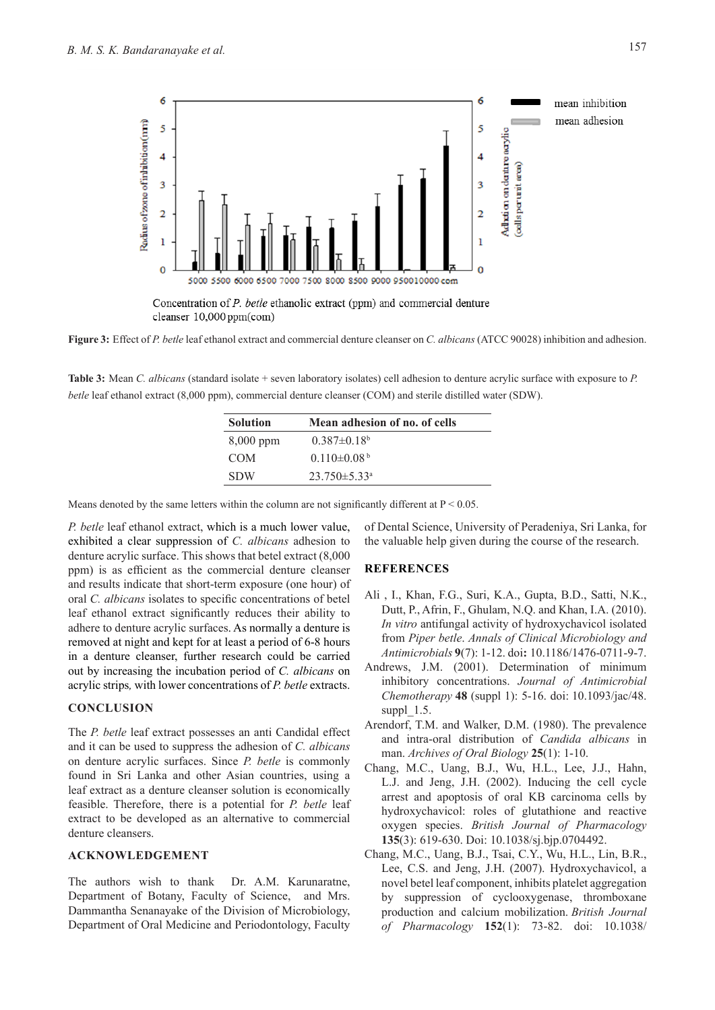

cleanser 10,000 ppm(com)

**Figure 3:** Effect of *P. betle* leaf ethanol extract and commercial denture cleanser on *C. albicans* (ATCC 90028) inhibition and adhesion.

**Table 3:** Mean *C. albicans* (standard isolate + seven laboratory isolates) cell adhesion to denture acrylic surface with exposure to *P. betle* leaf ethanol extract (8,000 ppm), commercial denture cleanser (COM) and sterile distilled water (SDW).

| <b>Solution</b> | Mean adhesion of no. of cells  |
|-----------------|--------------------------------|
| $8,000$ ppm     | $0.387\pm0.18^{\rm b}$         |
| <b>COM</b>      | $0.110\pm0.08^{\mathrm{b}}$    |
| <b>SDW</b>      | $23.750 \pm 5.33$ <sup>a</sup> |

Means denoted by the same letters within the column are not significantly different at  $P < 0.05$ .

*P. betle* leaf ethanol extract, which is a much lower value, exhibited a clear suppression of *C. albicans* adhesion to denture acrylic surface. This shows that betel extract (8,000 ppm) is as efficient as the commercial denture cleanser and results indicate that short-term exposure (one hour) of oral *C. albicans* isolates to specific concentrations of betel leaf ethanol extract significantly reduces their ability to adhere to denture acrylic surfaces. As normally a denture is removed at night and kept for at least a period of 6-8 hours in a denture cleanser, further research could be carried out by increasing the incubation period of *C. albicans* on acrylic strips*,* with lower concentrations of *P. betle* extracts.

## **CONCLUSION**

The *P. betle* leaf extract possesses an anti Candidal effect and it can be used to suppress the adhesion of *C. albicans* on denture acrylic surfaces. Since *P. betle* is commonly found in Sri Lanka and other Asian countries, using a leaf extract as a denture cleanser solution is economically feasible. Therefore, there is a potential for *P. betle* leaf extract to be developed as an alternative to commercial denture cleansers.

### **ACKNOWLEDGEMENT**

The authors wish to thank Dr. A.M. Karunaratne, Department of Botany, Faculty of Science, and Mrs. Dammantha Senanayake of the Division of Microbiology, Department of Oral Medicine and Periodontology, Faculty of Dental Science, University of Peradeniya, Sri Lanka, for the valuable help given during the course of the research.

### **REFERENCES**

- Ali , I., Khan, F.G., Suri, K.A., Gupta, B.D., Satti, N.K., Dutt, P., Afrin, F., Ghulam, N.Q. and Khan, I.A. (2010). *In vitro* antifungal activity of hydroxychavicol isolated from *Piper betle*. *Annals of Clinical Microbiology and Antimicrobials* **9**(7): 1-12. doi**:** 10.1186/1476-0711-9-7.
- Andrews, J.M. (2001). Determination of minimum inhibitory concentrations. *Journal of Antimicrobial Chemotherapy* **48** (suppl 1): 5-16. doi: 10.1093/jac/48. suppl  $1.5$ .
- Arendorf, T.M. and Walker, D.M. (1980). The prevalence and intra-oral distribution of *Candida albicans* in man. *Archives of Oral Biology* **25**(1): 1-10.
- Chang, M.C., Uang, B.J., Wu, H.L., Lee, J.J., Hahn, L.J. and Jeng, J.H. (2002). Inducing the cell cycle arrest and apoptosis of oral KB carcinoma cells by hydroxychavicol: roles of glutathione and reactive oxygen species. *British Journal of Pharmacology* **135**(3): 619-630. Doi: 10.1038/sj.bjp.0704492.
- Chang, M.C., Uang, B.J., Tsai, C.Y., Wu, H.L., Lin, B.R., Lee, C.S. and Jeng, J.H. (2007). Hydroxychavicol, a novel betel leaf component, inhibits platelet aggregation by suppression of cyclooxygenase, thromboxane production and calcium mobilization. *British Journal of Pharmacology* **152**(1): 73-82. doi: 10.1038/